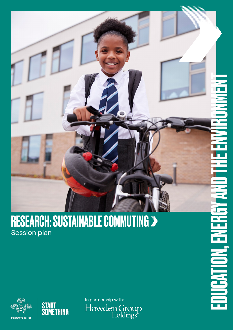

#### RESEARCH: SUSTAINABLE COMMUTING Session plan





In partnership with:Howden Group<br>Holdings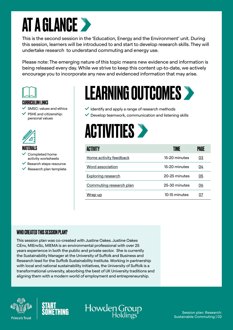#### **AT A GLANCE >**

This is the second session in the 'Education, Energy and the Environment' unit. During this session, learners will be introduced to and start to develop research skills. They will undertake research to understand commuting and energy use.

Please note: The emerging nature of this topic means new evidence and information is being released every day. While we strive to keep this content up-to-date, we actively encourage you to incorporate any new and evidenced information that may arise.



#### CURRICULUM LINKS

SMSC: values and ethics

 PSHE and citizenship: personal values



#### **MATFRIALS**

 Completed home activity worksheets

- $\vee$  Reearch steps resource
- $\vee$  Research plan template

### LEARNING OUTCOMES

- $\vee$  Identify and apply a range of research methods
- $\vee$  Develop teamwork, communication and listening skills



| ACTIVITY                  | TIME          | PAGE |
|---------------------------|---------------|------|
| Home activity feedback    | 15-20 minutes | 03   |
| Word association          | 15-20 minutes | 04   |
| <b>Exploring research</b> | 20-25 minutes | 05   |
| Commuting research plan   | 25-30 minutes | 06   |
| Wrap up                   | 10-15 minutes | 07   |

#### WHO CREATED THIS SESSION PLAN?

This session plan was co-created with Justine Oakes. Justine Oakes CEnv, MIEnvSc, MIEMA is an environmental professional with over 25 years experience in both the public and private sector. She is currently the Sustainability Manager at the University of Suffolk and Business and Research lead for the Suffolk Sustainability Institute. Working in partnership with local and national sustainability initiatives, the University of Suffolk is a transformational university, absorbing the best of UK University traditions and aligning them with a modern world of employment and entrepreneurship.





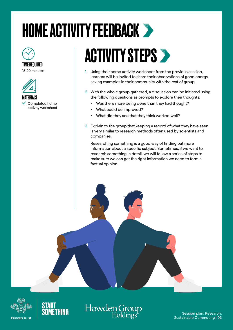## <span id="page-2-0"></span>HOME ACTIVITY FEEDBACK



#### TIME REQUIRED

15-20 minutes



MATERIALS Completed home activity worksheet

### **ACTIVITY STEPS >**

- 1. Using their home activity worksheet from the previous session, learners will be invited to share their observations of good energy saving examples in their community with the rest of group.
- 2. With the whole group gathered, a discussion can be initiated using the following questions as prompts to explore their thoughts:
	- Was there more being done than they had thought?
	- What could be improved?
	- What did they see that they think worked well?
- 3. Explain to the group that keeping a record of what they have seen is very similar to research methods often used by scientists and companies.

Researching something is a good way of finding out more information about a specific subject. Sometimes, if we want to research something in detail, we will follow a series of steps to make sure we can get the right information we need to form a factual opinion.





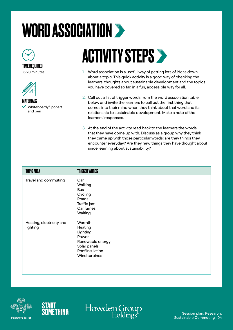## <span id="page-3-0"></span>WORD ASSOCIATION >



15-20 minutes



MATERIALS Whiteboard/flipchart and pen

### **ACTIVITY STEPS >**

- 1. Word association is a useful way of getting lots of ideas down about a topic. This quick activity is a good way of checking the learners' thoughts about sustainable development and the topics you have covered so far, in a fun, accessible way for all.
- 2. Call out a list of trigger words from the word association table below and invite the learners to call out the first thing that comes into their mind when they think about that word and its relationship to sustainable development. Make a note of the learners' responses.
- 3. At the end of the activity read back to the learners the words that they have come up with. Discuss as a group why they think they came up with those particular words: are they things they encounter everyday? Are they new things they have thought about since learning about sustainability?

| <b>TOPIC AREA</b>                    | <b>TRIGGER WORDS</b>                                                                                           |
|--------------------------------------|----------------------------------------------------------------------------------------------------------------|
| Travel and commuting                 | Car<br>Walking<br><b>Bus</b><br>Cycling<br>Roads<br>Traffic jam<br>Car fumes<br>Waiting                        |
| Heating, electricity and<br>lighting | Warmth<br>Heating<br>Lighting<br>Power<br>Renewable energy<br>Solar panels<br>Roof insulation<br>Wind turbines |





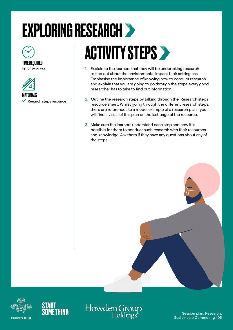# <span id="page-4-0"></span>EXPLORING RESEARCH



#### TIME REQUIRED 20-25 minutes



MATERIALS

 $\checkmark$  Reearch steps resource

### **ACTIVITY STEPS >**

- 1. Explain to the learners that they will be undertaking research to find out about the environmental impact their setting has. Emphasise the importance of knowing how to conduct research and explain that you are going to go through the steps every good researcher has to take to find out information.
- 2. Outline the research steps by talking through the 'Research steps resource sheet'. Whilst going through the different research steps, there are references to a model example of a research plan - you will find a visual of this plan on the last page of the resource.
- 3. Make sure the learners understand each step and how it is possible for them to conduct such research with their resources and knowledge. Ask them if they have any questions about any of the steps.







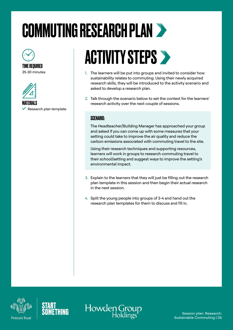### <span id="page-5-0"></span>COMMUTING RESEARCH PLAN



TIME REQUIRED 25-30 minutes



 $\checkmark$  Research plan template

### **ACTIVITY STEPS >**

- 1. The learners will be put into groups and invited to consider how sustainability relates to commuting. Using their newly acquired research skills, they will be introduced to the activity scenario and asked to develop a research plan.
- 2. Talk through the scenario below to set the context for the learners' **MATERIALS EXECUTE:** The search activity over the next couple of sessions.

#### SCENARIO:

The Headteacher/Building Manager has approached your group and asked if you can come up with some measures that your setting could take to improve the air quality and reduce the carbon emissions associated with commuting travel to the site.

Using their research techniques and supporting resources, learners will work in groups to research commuting travel to their school/setting and suggest ways to improve the setting's environmental impact.

- 3. Explain to the learners that they will just be filling out the research plan template in this session and then begin their actual research in the next session.
- 4. Split the young people into groups of 3-4 and hand out the research plan templates for them to discuss and fill in.